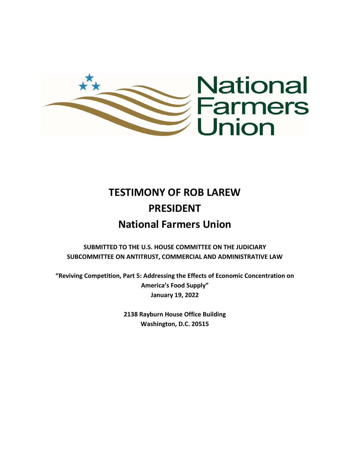

# **TESTIMONY OF ROB LAREW PRESIDENT National Farmers Union**

**SUBMITTED TO THE U.S. HOUSE COMMITTEE ON THE JUDICIARY SUBCOMMITTEE ON ANTITRUST, COMMERCIAL AND ADMINISTRATIVE LAW**

**"Reviving Competition, Part 5: Addressing the Effects of Economic Concentration on America's Food Supply" January 19, 2022**

> **2138 Rayburn House Office Building Washington, D.C. 20515**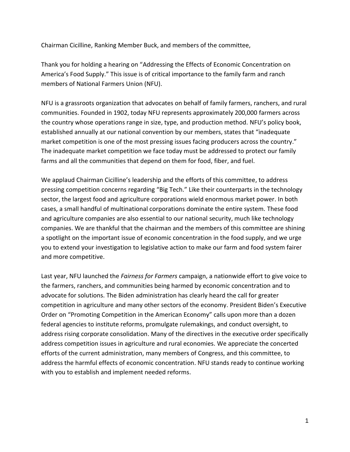Chairman Cicilline, Ranking Member Buck, and members of the committee,

Thank you for holding a hearing on "Addressing the Effects of Economic Concentration on America's Food Supply." This issue is of critical importance to the family farm and ranch members of National Farmers Union (NFU).

NFU is a grassroots organization that advocates on behalf of family farmers, ranchers, and rural communities. Founded in 1902, today NFU represents approximately 200,000 farmers across the country whose operations range in size, type, and production method. NFU's policy book, established annually at our national convention by our members, states that "inadequate market competition is one of the most pressing issues facing producers across the country." The inadequate market competition we face today must be addressed to protect our family farms and all the communities that depend on them for food, fiber, and fuel.

We applaud Chairman Cicilline's leadership and the efforts of this committee, to address pressing competition concerns regarding "Big Tech." Like their counterparts in the technology sector, the largest food and agriculture corporations wield enormous market power. In both cases, a small handful of multinational corporations dominate the entire system. These food and agriculture companies are also essential to our national security, much like technology companies. We are thankful that the chairman and the members of this committee are shining a spotlight on the important issue of economic concentration in the food supply, and we urge you to extend your investigation to legislative action to make our farm and food system fairer and more competitive.

Last year, NFU launched the *Fairness for Farmers* campaign, a nationwide effort to give voice to the farmers, ranchers, and communities being harmed by economic concentration and to advocate for solutions. The Biden administration has clearly heard the call for greater competition in agriculture and many other sectors of the economy. President Biden's Executive Order on "Promoting Competition in the American Economy" calls upon more than a dozen federal agencies to institute reforms, promulgate rulemakings, and conduct oversight, to address rising corporate consolidation. Many of the directives in the executive order specifically address competition issues in agriculture and rural economies. We appreciate the concerted efforts of the current administration, many members of Congress, and this committee, to address the harmful effects of economic concentration. NFU stands ready to continue working with you to establish and implement needed reforms.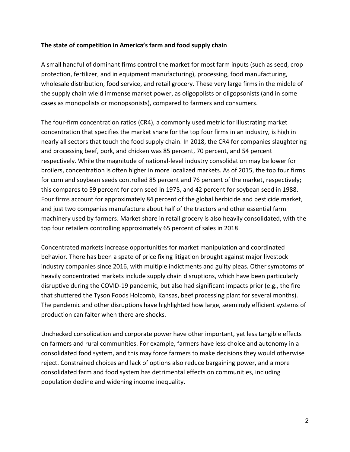## **The state of competition in America's farm and food supply chain**

A small handful of dominant firms control the market for most farm inputs (such as seed, crop protection, fertilizer, and in equipment manufacturing), processing, food manufacturing, wholesale distribution, food service, and retail grocery. These very large firms in the middle of the supply chain wield immense market power, as oligopolists or oligopsonists (and in some cases as monopolists or monopsonists), compared to farmers and consumers.

The four-firm concentration ratios (CR4), a commonly used metric for illustrating market concentration that specifies the market share for the top four firms in an industry, is high in nearly all sectors that touch the food supply chain. In 2018, the CR4 for companies slaughtering and processing beef, pork, and chicken was 85 percent, 70 percent, and 54 percent respectively. While the magnitude of national-level industry consolidation may be lower for broilers, concentration is often higher in more localized markets. As of 2015, the top four firms for corn and soybean seeds controlled 85 percent and 76 percent of the market, respectively; this compares to 59 percent for corn seed in 1975, and 42 percent for soybean seed in 1988. Four firms account for approximately 84 percent of the global herbicide and pesticide market, and just two companies manufacture about half of the tractors and other essential farm machinery used by farmers. Market share in retail grocery is also heavily consolidated, with the top four retailers controlling approximately 65 percent of sales in 2018.

Concentrated markets increase opportunities for market manipulation and coordinated behavior. There has been a spate of price fixing litigation brought against major livestock industry companies since 2016, with multiple indictments and guilty pleas. Other symptoms of heavily concentrated markets include supply chain disruptions, which have been particularly disruptive during the COVID-19 pandemic, but also had significant impacts prior (e.g., the fire that shuttered the Tyson Foods Holcomb, Kansas, beef processing plant for several months). The pandemic and other disruptions have highlighted how large, seemingly efficient systems of production can falter when there are shocks.

Unchecked consolidation and corporate power have other important, yet less tangible effects on farmers and rural communities. For example, farmers have less choice and autonomy in a consolidated food system, and this may force farmers to make decisions they would otherwise reject. Constrained choices and lack of options also reduce bargaining power, and a more consolidated farm and food system has detrimental effects on communities, including population decline and widening income inequality.